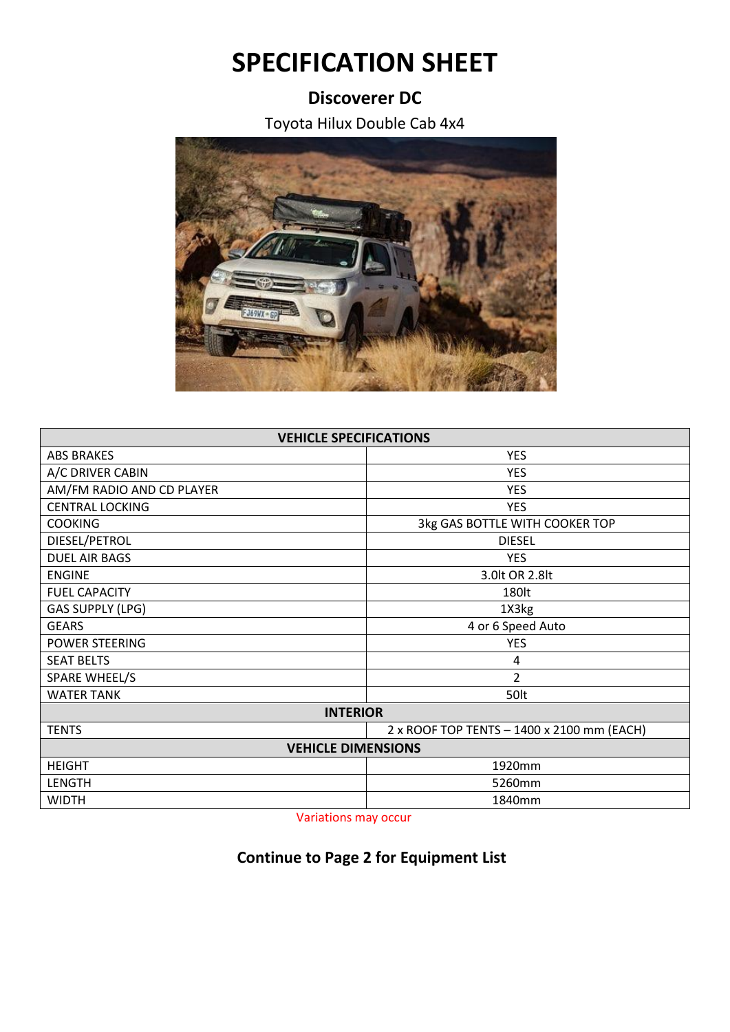## **SPECIFICATION SHEET**

## **Discoverer DC**

Toyota Hilux Double Cab 4x4



| <b>VEHICLE SPECIFICATIONS</b> |                                            |  |
|-------------------------------|--------------------------------------------|--|
| <b>ABS BRAKES</b>             | <b>YES</b>                                 |  |
| A/C DRIVER CABIN              | <b>YES</b>                                 |  |
| AM/FM RADIO AND CD PLAYER     | <b>YES</b>                                 |  |
| <b>CENTRAL LOCKING</b>        | <b>YES</b>                                 |  |
| <b>COOKING</b>                | 3kg GAS BOTTLE WITH COOKER TOP             |  |
| DIESEL/PETROL                 | <b>DIESEL</b>                              |  |
| <b>DUEL AIR BAGS</b>          | <b>YES</b>                                 |  |
| <b>ENGINE</b>                 | 3.0lt OR 2.8lt                             |  |
| <b>FUEL CAPACITY</b>          | 180lt                                      |  |
| <b>GAS SUPPLY (LPG)</b>       | 1X3kg                                      |  |
| <b>GEARS</b>                  | 4 or 6 Speed Auto                          |  |
| <b>POWER STEERING</b>         | <b>YES</b>                                 |  |
| <b>SEAT BELTS</b>             | 4                                          |  |
| SPARE WHEEL/S                 | $\overline{2}$                             |  |
| <b>WATER TANK</b>             | 50lt                                       |  |
| <b>INTERIOR</b>               |                                            |  |
| <b>TENTS</b>                  | 2 x ROOF TOP TENTS - 1400 x 2100 mm (EACH) |  |
| <b>VEHICLE DIMENSIONS</b>     |                                            |  |
| <b>HEIGHT</b>                 | 1920mm                                     |  |
| LENGTH                        | 5260mm                                     |  |
| <b>WIDTH</b>                  | 1840mm                                     |  |

Variations may occur

## **Continue to Page 2 for Equipment List**